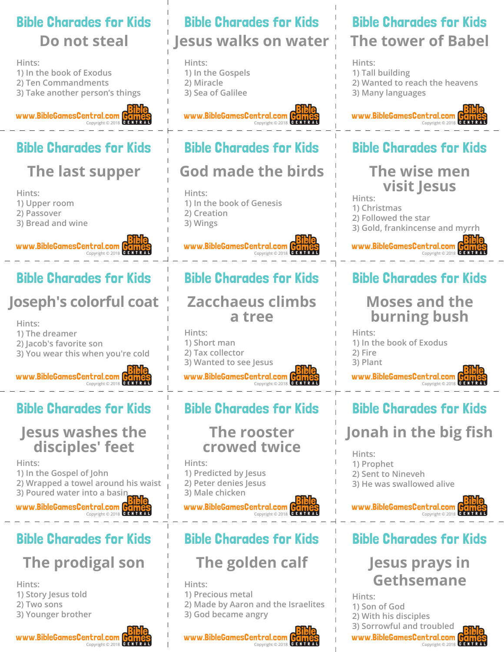### Bible Charades for Kids **Do not steal**

**Hints:**

**1) In the book of Exodus 2) Ten Commandments 3) Take another person's things**

www.BibleGamesCentral.com Copyright © 2018

# Bible Charades for Kids

# **The last supper**

**Hints:**

- **1) Upper room**
- **2) Passover**
- **3) Bread and wine**

www.BibleGamesCentral.com Copyright © 2018

### Bible Charades for Kids

# **Joseph's colorful coat**

**Hints: 1) The dreamer 2) Jacob's favorite son 3) You wear this when you're cold**



## Bible Charades for Kids

#### **Jesus washes the disciples' feet**

**Hints: 1) In the Gospel of John 2) Wrapped a towel around his waist 3) Poured water into a basin**

www.BibleGamesCentral.com

Copyright © 2018

# Bible Charades for Kids **The prodigal son**

- **Hints: 1) Story Jesus told**
- **2) Two sons**
- **3) Younger brother**



# Bible Charades for Kids **Jesus walks on water**

**Hints: 1) In the Gospels 2) Miracle 3) Sea of Galilee**

#### www.BibleGamesCentral.com Copyright © 2018

### Bible Charades for Kids

# **God made the birds**

**Hints: 1) In the book of Genesis 2) Creation 3) Wings**

#### www.BibleGamesCentral.com Copyright © 2018

## Bible Charades for Kids

#### **Zacchaeus climbs a tree**

www.BibleGamesCentral.com **Hints: 1) Short man 2) Tax collector 3) Wanted to see Jesus**



## Bible Charades for Kids

#### **The rooster crowed twice**

**Hints: 1) Predicted by Jesus 2) Peter denies Jesus 3) Male chicken**

www.BibleGamesCentral.com Copyright © 2018

## Bible Charades for Kids

# **The golden calf**

**Hints:**

- **1) Precious metal**
- **2) Made by Aaron and the Israelites 3) God became angry**

Copyright © 2018

www.BibleGamesCentral.com

## Bible Charades for Kids **The tower of Babel**

**Hints: 1) Tall building**

- 
- **2) Wanted to reach the heavens 3) Many languages**
- 



## Bible Charades for Kids

#### **The wise men visit Jesus**

**Hints:**

- **1) Christmas**
- **2) Followed the star**
- **3) Gold, frankincense and myrrh**

www.BibleGamesCentral.com Copyright © 2018

# Bible Charades for Kids

### **Moses and the burning bush**

**Hints: 1) In the book of Exodus 2) Fire 3) Plant**

www.BibleGamesCentral.com Copyright © 2018

# Bible Charades for Kids

# **Jonah in the big fish**

**Hints:**

**1) Prophet**

- **2) Sent to Nineveh**
- **3) He was swallowed alive**



### Bible Charades for Kids

## **Jesus prays in Gethsemane**

www.BibleGamesCentral.com Copyright © 2018 **Hints: 1) Son of God 2) With his disciples 3) Sorrowful and troubled**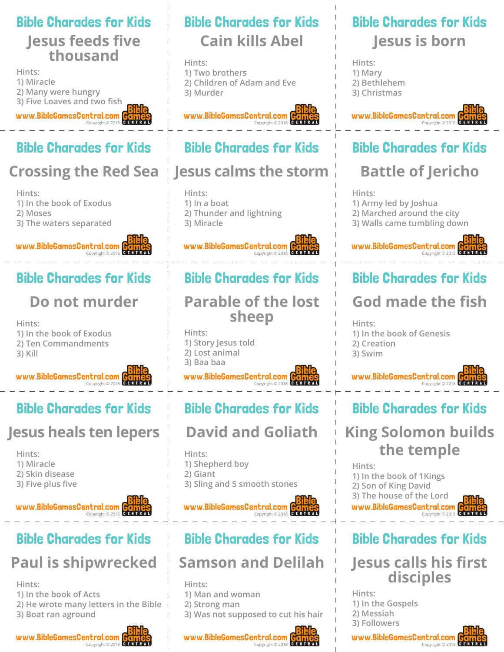#### Bible Charades for Kids

### **Jesus feeds five thousand**

www.BibleGamesCentral.com **Hints: 1) Miracle 2) Many were hungry 3) Five Loaves and two fish**

# Bible Charades for Kids

Copyright © 2018

# **Crossing the Red Sea**

**Hints: 1) In the book of Exodus 2) Moses 3) The waters separated**

www.BibleGamesCentral.com Copyright © 2018

# Bible Charades for Kids

# **Do not murder**

**Hints: 1) In the book of Exodus 2) Ten Commandments 3) Kill**

www.BibleGamesCentral.com Copyright © 2018

# Bible Charades for Kids

# **Jesus heals ten lepers**

**Hints:**

- **1) Miracle**
- **2) Skin disease**
- **3) Five plus five**

#### www.BibleGamesCentral.com Copyright © 2018

# Bible Charades for Kids **Paul is shipwrecked**

**Hints:**

**1) In the book of Acts**

- **2) He wrote many letters in the Bible**
- **3) Boat ran aground**



# Bible Charades for Kids **Cain kills Abel**

**Hints: 1) Two brothers 2) Children of Adam and Eve 3) Murder**

#### www.BibleGamesCentral.com Copyright © 2018

## Bible Charades for Kids

## **Jesus calms the storm**

**Hints: 1) In a boat 2) Thunder and lightning 3) Miracle**

www.BibleGamesCentral.com Copyright © 2018

# Bible Charades for Kids

### **Parable of the lost sheep**

www.BibleGamesCentral.com Copyright © 2018 **Hints: 1) Story Jesus told 2) Lost animal 3) Baa baa**

# Bible Charades for Kids

# **David and Goliath**

**Hints: 1) Shepherd boy**

- **2) Giant**
- 
- **3) Sling and 5 smooth stones**

www.BibleGamesCentral.com Copyright © 2018

# Bible Charades for Kids

## **Samson and Delilah**

**Hints: 1) Man and woman**

- **2) Strong man**
- **3) Was not supposed to cut his hair**

#### www.BibleGamesCentral.com Copyright © 2018

# Bible Charades for Kids **Jesus is born**

**Hints: 1) Mary 2) Bethlehem 3) Christmas**



# Bible Charades for Kids

# **Battle of Jericho**

**Hints:**

- **1) Army led by Joshua**
- **2) Marched around the city**
- **3) Walls came tumbling down**



# Bible Charades for Kids

# **God made the fish**

**Hints: 1) In the book of Genesis 2) Creation 3) Swim**



# Bible Charades for Kids

# **King Solomon builds the temple**

www.BibleGamesCentral.com **Hints: 1) In the book of 1Kings 2) Son of King David 3) The house of the Lord**



# Bible Charades for Kids

### **Jesus calls his first disciples**

**Hints: 1) In the Gospels 2) Messiah 3) Followers**